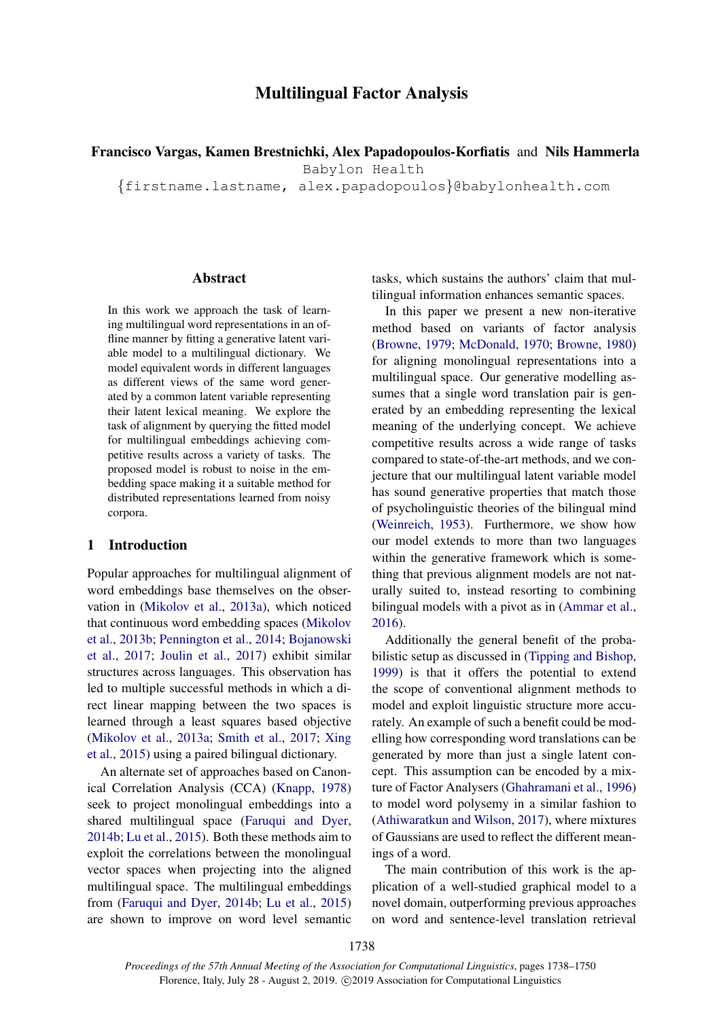# Multilingual Factor Analysis

Francisco Vargas, Kamen Brestnichki, Alex Papadopoulos-Korfiatis and Nils Hammerla

Babylon Health

{firstname.lastname, alex.papadopoulos}@babylonhealth.com

## Abstract

In this work we approach the task of learning multilingual word representations in an offline manner by fitting a generative latent variable model to a multilingual dictionary. We model equivalent words in different languages as different views of the same word generated by a common latent variable representing their latent lexical meaning. We explore the task of alignment by querying the fitted model for multilingual embeddings achieving competitive results across a variety of tasks. The proposed model is robust to noise in the embedding space making it a suitable method for distributed representations learned from noisy corpora.

## 1 Introduction

Popular approaches for multilingual alignment of word embeddings base themselves on the observation in [\(Mikolov et al.,](#page-9-0) [2013a\)](#page-9-0), which noticed that continuous word embedding spaces [\(Mikolov](#page-9-1) [et al.,](#page-9-1) [2013b;](#page-9-1) [Pennington et al.,](#page-9-2) [2014;](#page-9-2) [Bojanowski](#page-8-0) [et al.,](#page-8-0) [2017;](#page-8-0) [Joulin et al.,](#page-9-3) [2017\)](#page-9-3) exhibit similar structures across languages. This observation has led to multiple successful methods in which a direct linear mapping between the two spaces is learned through a least squares based objective [\(Mikolov et al.,](#page-9-0) [2013a;](#page-9-0) [Smith et al.,](#page-9-4) [2017;](#page-9-4) [Xing](#page-10-0) [et al.,](#page-10-0) [2015\)](#page-10-0) using a paired bilingual dictionary.

An alternate set of approaches based on Canonical Correlation Analysis (CCA) [\(Knapp,](#page-9-5) [1978\)](#page-9-5) seek to project monolingual embeddings into a shared multilingual space [\(Faruqui and Dyer,](#page-8-1) [2014b;](#page-8-1) [Lu et al.,](#page-9-6) [2015\)](#page-9-6). Both these methods aim to exploit the correlations between the monolingual vector spaces when projecting into the aligned multilingual space. The multilingual embeddings from [\(Faruqui and Dyer,](#page-8-1) [2014b;](#page-8-1) [Lu et al.,](#page-9-6) [2015\)](#page-9-6) are shown to improve on word level semantic

tasks, which sustains the authors' claim that multilingual information enhances semantic spaces.

In this paper we present a new non-iterative method based on variants of factor analysis [\(Browne,](#page-8-2) [1979;](#page-8-2) [McDonald,](#page-9-7) [1970;](#page-9-7) [Browne,](#page-8-3) [1980\)](#page-8-3) for aligning monolingual representations into a multilingual space. Our generative modelling assumes that a single word translation pair is generated by an embedding representing the lexical meaning of the underlying concept. We achieve competitive results across a wide range of tasks compared to state-of-the-art methods, and we conjecture that our multilingual latent variable model has sound generative properties that match those of psycholinguistic theories of the bilingual mind [\(Weinreich,](#page-9-8) [1953\)](#page-9-8). Furthermore, we show how our model extends to more than two languages within the generative framework which is something that previous alignment models are not naturally suited to, instead resorting to combining bilingual models with a pivot as in [\(Ammar et al.,](#page-8-4) [2016\)](#page-8-4).

Additionally the general benefit of the probabilistic setup as discussed in [\(Tipping and Bishop,](#page-9-9) [1999\)](#page-9-9) is that it offers the potential to extend the scope of conventional alignment methods to model and exploit linguistic structure more accurately. An example of such a benefit could be modelling how corresponding word translations can be generated by more than just a single latent concept. This assumption can be encoded by a mixture of Factor Analysers [\(Ghahramani et al.,](#page-9-10) [1996\)](#page-9-10) to model word polysemy in a similar fashion to [\(Athiwaratkun and Wilson,](#page-8-5) [2017\)](#page-8-5), where mixtures of Gaussians are used to reflect the different meanings of a word.

The main contribution of this work is the application of a well-studied graphical model to a novel domain, outperforming previous approaches on word and sentence-level translation retrieval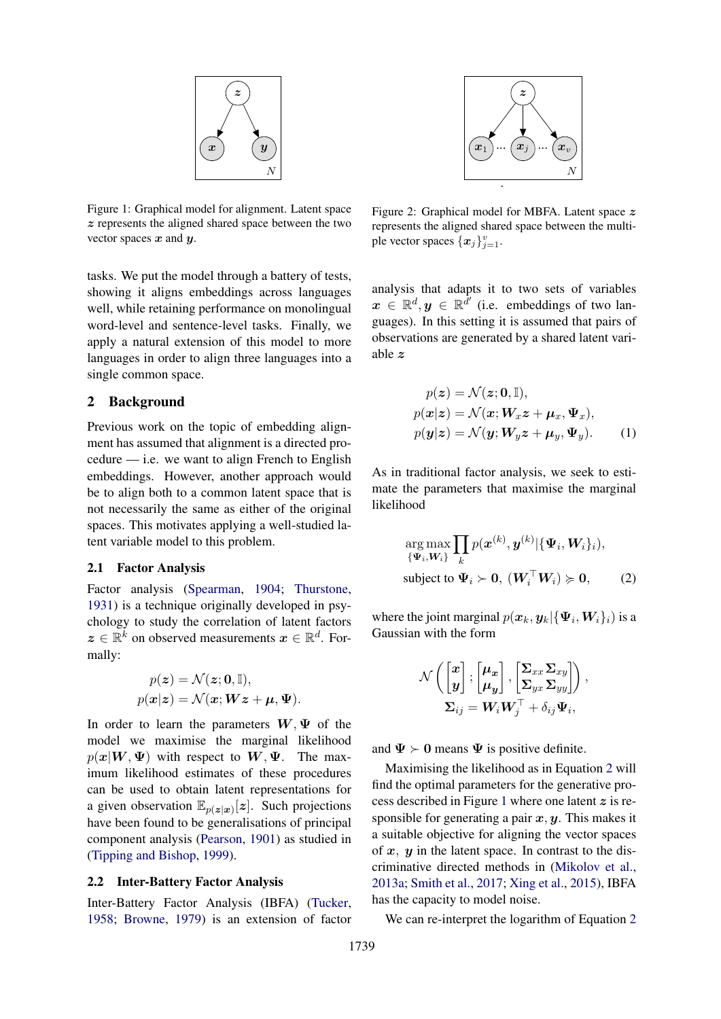<span id="page-1-1"></span>

Figure 1: Graphical model for alignment. Latent space z represents the aligned shared space between the two vector spaces  $x$  and  $y$ .

tasks. We put the model through a battery of tests, showing it aligns embeddings across languages well, while retaining performance on monolingual word-level and sentence-level tasks. Finally, we apply a natural extension of this model to more languages in order to align three languages into a single common space.

## 2 Background

Previous work on the topic of embedding alignment has assumed that alignment is a directed procedure — i.e. we want to align French to English embeddings. However, another approach would be to align both to a common latent space that is not necessarily the same as either of the original spaces. This motivates applying a well-studied latent variable model to this problem.

#### 2.1 Factor Analysis

Factor analysis [\(Spearman,](#page-9-11) [1904;](#page-9-11) [Thurstone,](#page-9-12) [1931\)](#page-9-12) is a technique originally developed in psychology to study the correlation of latent factors  $z \in \mathbb{R}^k$  on observed measurements  $x \in \mathbb{R}^d$ . Formally:

$$
\begin{aligned} p(\textbf{z}) &= \mathcal{N}(\textbf{z};\textbf{0},\mathbb{I}), \\ p(\textbf{x}|\textbf{z}) &= \mathcal{N}(\textbf{x};\textbf{W}\textbf{z}+\textbf{\mu},\boldsymbol{\Psi}). \end{aligned}
$$

In order to learn the parameters  $W, \Psi$  of the model we maximise the marginal likelihood  $p(x|W, \Psi)$  with respect to  $W, \Psi$ . The maximum likelihood estimates of these procedures can be used to obtain latent representations for a given observation  $\mathbb{E}_{p(\boldsymbol{z}|\boldsymbol{x})}[\boldsymbol{z}]$ . Such projections have been found to be generalisations of principal component analysis [\(Pearson,](#page-9-13) [1901\)](#page-9-13) as studied in [\(Tipping and Bishop,](#page-9-9) [1999\)](#page-9-9).

#### 2.2 Inter-Battery Factor Analysis

Inter-Battery Factor Analysis (IBFA) [\(Tucker,](#page-9-14) [1958;](#page-9-14) [Browne,](#page-8-2) [1979\)](#page-8-2) is an extension of factor

<span id="page-1-2"></span>

Figure 2: Graphical model for MBFA. Latent space  $z$ represents the aligned shared space between the multiple vector spaces  $\{x_j\}_{j=1}^v$ .

analysis that adapts it to two sets of variables  $\boldsymbol{x} \in \mathbb{R}^d$ ,  $\boldsymbol{y} \in \mathbb{R}^{\tilde{d}'}$  (i.e. embeddings of two languages). In this setting it is assumed that pairs of observations are generated by a shared latent variable z

<span id="page-1-3"></span>
$$
p(z) = \mathcal{N}(z; \mathbf{0}, \mathbb{I}),
$$
  
\n
$$
p(x|z) = \mathcal{N}(x; \mathbf{W}_x z + \mu_x, \Psi_x),
$$
  
\n
$$
p(y|z) = \mathcal{N}(y; \mathbf{W}_y z + \mu_y, \Psi_y).
$$
 (1)

As in traditional factor analysis, we seek to estimate the parameters that maximise the marginal likelihood

<span id="page-1-0"></span>
$$
\arg\max_{\{\Psi_i, \mathbf{W}_i\}} \prod_k p(\mathbf{x}^{(k)}, \mathbf{y}^{(k)} | \{\Psi_i, \mathbf{W}_i\}_i),
$$
\nsubject to  $\Psi_i \succ 0$ ,  $(\mathbf{W}_i^\top \mathbf{W}_i) \succ 0$ , (2)

where the joint marginal  $p(\mathbf{x}_k, \mathbf{y}_k | {\{\mathbf{\Psi}_i, \mathbf{W}_i\}_i})$  is a Gaussian with the form

$$
\mathcal{N}\left(\begin{bmatrix} x\\ {\boldsymbol y} \end{bmatrix};\begin{bmatrix} {\boldsymbol \mu}_{{\boldsymbol x}}\\ {\boldsymbol \mu}_{{\boldsymbol y}} \end{bmatrix},\begin{bmatrix} \boldsymbol{\Sigma}_{xx}\boldsymbol{\Sigma}_{xy}\\ \boldsymbol{\Sigma}_{yx}\boldsymbol{\Sigma}_{yy} \end{bmatrix}\right), \\ \boldsymbol{\Sigma}_{ij} = \boldsymbol{W}_i\boldsymbol{W}_j^\top + \delta_{ij}\boldsymbol{\Psi}_i,
$$

and  $\Psi \succ 0$  means  $\Psi$  is positive definite.

Maximising the likelihood as in Equation [2](#page-1-0) will find the optimal parameters for the generative pro-cess described in Figure [1](#page-1-1) where one latent  $z$  is responsible for generating a pair  $x, y$ . This makes it a suitable objective for aligning the vector spaces of  $x$ ,  $y$  in the latent space. In contrast to the discriminative directed methods in [\(Mikolov et al.,](#page-9-0) [2013a;](#page-9-0) [Smith et al.,](#page-9-4) [2017;](#page-9-4) [Xing et al.,](#page-10-0) [2015\)](#page-10-0), IBFA has the capacity to model noise.

We can re-interpret the logarithm of Equation [2](#page-1-0)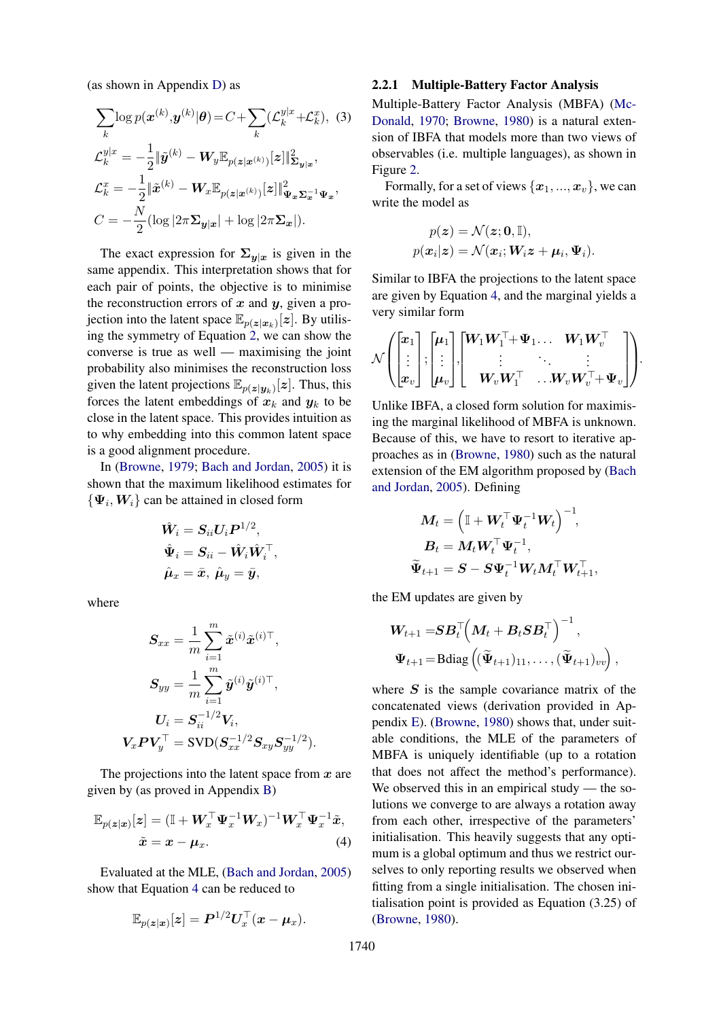(as shown in Appendix [D\)](#page-10-1) as

$$
\sum_{k} \log p(\boldsymbol{x}^{(k)}, \boldsymbol{y}^{(k)} | \boldsymbol{\theta}) = C + \sum_{k} (\mathcal{L}_{k}^{y|x} + \mathcal{L}_{k}^{x}), (3)
$$

$$
\mathcal{L}_{k}^{y|x} = -\frac{1}{2} \|\tilde{\boldsymbol{y}}^{(k)} - \boldsymbol{W}_{y} \mathbb{E}_{p(\boldsymbol{z}|\boldsymbol{x}^{(k)})} [\boldsymbol{z}] \|_{\boldsymbol{\Sigma}_{\boldsymbol{y}|\boldsymbol{x}}}^{2},
$$

$$
\mathcal{L}_{k}^{x} = -\frac{1}{2} \|\tilde{\boldsymbol{x}}^{(k)} - \boldsymbol{W}_{x} \mathbb{E}_{p(\boldsymbol{z}|\boldsymbol{x}^{(k)})} [\boldsymbol{z}] \|_{\boldsymbol{\Psi}_{\boldsymbol{x}} \boldsymbol{\Sigma}_{\boldsymbol{x}}^{-1} \boldsymbol{\Psi}_{\boldsymbol{x}}}^{2},
$$

$$
C = -\frac{N}{2} (\log |2\pi \boldsymbol{\Sigma}_{\boldsymbol{y}|\boldsymbol{x}}| + \log |2\pi \boldsymbol{\Sigma}_{\boldsymbol{x}}|).
$$

The exact expression for  $\Sigma_{y|x}$  is given in the same appendix. This interpretation shows that for each pair of points, the objective is to minimise the reconstruction errors of  $x$  and  $y$ , given a projection into the latent space  $\mathbb{E}_{p(z|x_k)}[z]$ . By utilising the symmetry of Equation [2,](#page-1-0) we can show the converse is true as well — maximising the joint probability also minimises the reconstruction loss given the latent projections  $\mathbb{E}_{p(z|\mathbf{y}_k)}[z]$ . Thus, this forces the latent embeddings of  $x_k$  and  $y_k$  to be close in the latent space. This provides intuition as to why embedding into this common latent space is a good alignment procedure.

In [\(Browne,](#page-8-2) [1979;](#page-8-2) [Bach and Jordan,](#page-8-6) [2005\)](#page-8-6) it is shown that the maximum likelihood estimates for  $\{\Psi_i, W_i\}$  can be attained in closed form

$$
\begin{aligned} \hat{\bm{W}}_i &= \bm{S}_{ii} \bm{U}_i \bm{P}^{1/2}, \\ \hat{\bm{\Psi}}_i &= \bm{S}_{ii} - \hat{\bm{W}}_i \hat{\bm{W}}_i^\top, \\ \hat{\bm{\mu}}_x &= \bar{\bm{x}}, \ \hat{\bm{\mu}}_y = \bar{\bm{y}}, \end{aligned}
$$

where

$$
\begin{aligned} \boldsymbol{S}_{xx} &= \frac{1}{m} \sum_{i=1}^m \tilde{\boldsymbol{x}}^{(i)} \tilde{\boldsymbol{x}}^{(i)\top}, \\ \boldsymbol{S}_{yy} &= \frac{1}{m} \sum_{i=1}^m \tilde{\boldsymbol{y}}^{(i)} \tilde{\boldsymbol{y}}^{(i)\top}, \\ \boldsymbol{U}_i &= \boldsymbol{S}_{ii}^{-1/2} \boldsymbol{V}_i, \\ \boldsymbol{V}_x \boldsymbol{P} \boldsymbol{V}_y^\top &= \text{SVD} (\boldsymbol{S}_{xx}^{-1/2} \boldsymbol{S}_{xy} \boldsymbol{S}_{yy}^{-1/2}). \end{aligned}
$$

The projections into the latent space from  $x$  are given by (as proved in Appendix [B\)](#page-10-2)

$$
\mathbb{E}_{p(z|x)}[z] = (\mathbb{I} + W_x^{\top} \Psi_x^{-1} W_x)^{-1} W_x^{\top} \Psi_x^{-1} \tilde{x},
$$
  

$$
\tilde{x} = x - \mu_x.
$$
 (4)

Evaluated at the MLE, [\(Bach and Jordan,](#page-8-6) [2005\)](#page-8-6) show that Equation [4](#page-2-0) can be reduced to

$$
\mathbb{E}_{p(\boldsymbol{z}|\boldsymbol{x})}[\boldsymbol{z}] = \boldsymbol{P}^{1/2}\boldsymbol{U}_{\boldsymbol{x}}^\top(\boldsymbol{x}-\boldsymbol{\mu}_{\boldsymbol{x}}).
$$

#### <span id="page-2-1"></span>2.2.1 Multiple-Battery Factor Analysis

Multiple-Battery Factor Analysis (MBFA) [\(Mc-](#page-9-7)[Donald,](#page-9-7) [1970;](#page-9-7) [Browne,](#page-8-3) [1980\)](#page-8-3) is a natural extension of IBFA that models more than two views of observables (i.e. multiple languages), as shown in Figure [2.](#page-1-2)

Formally, for a set of views  $\{x_1, ..., x_v\}$ , we can write the model as

$$
p(\boldsymbol{z}) = \mathcal{N}(\boldsymbol{z}; \mathbf{0}, \mathbb{I}),
$$
  

$$
p(\boldsymbol{x}_i | \boldsymbol{z}) = \mathcal{N}(\boldsymbol{x}_i; \boldsymbol{W}_i \boldsymbol{z} + \boldsymbol{\mu}_i, \boldsymbol{\Psi}_i).
$$

Similar to IBFA the projections to the latent space are given by Equation [4,](#page-2-0) and the marginal yields a very similar form

$$
\mathcal{N}\! \left(\! \begin{bmatrix} x_1 \\ \vdots \\ x_v \end{bmatrix}\! ; \! \begin{bmatrix} \boldsymbol{\mu}_1 \\ \vdots \\ \boldsymbol{\mu}_v \end{bmatrix}\! ; \! \begin{bmatrix} \boldsymbol{W}_1 \boldsymbol{W}_1^\top \!\! + \! \boldsymbol{\Psi}_1 \ldots \ \boldsymbol{W}_1 \boldsymbol{W}_v^\top \\ \vdots \quad \ddots \quad \vdots \\ \boldsymbol{W}_v \boldsymbol{W}_1^\top \quad \ldots \boldsymbol{W}_v \boldsymbol{W}_v^\top \!\! + \! \boldsymbol{\Psi}_v \end{bmatrix} \!\right)\! .
$$

Unlike IBFA, a closed form solution for maximising the marginal likelihood of MBFA is unknown. Because of this, we have to resort to iterative approaches as in [\(Browne,](#page-8-3) [1980\)](#page-8-3) such as the natural extension of the EM algorithm proposed by [\(Bach](#page-8-6) [and Jordan,](#page-8-6) [2005\)](#page-8-6). Defining

$$
\begin{aligned} \boldsymbol{M}_t &= \left(\mathbb{I} + \boldsymbol{W}_t^\top \boldsymbol{\Psi}_t^{-1} \boldsymbol{W}_t\right)^{-1}\!, \\ \boldsymbol{B}_t &= \boldsymbol{M}_t \boldsymbol{W}_t^\top \boldsymbol{\Psi}_t^{-1}\!, \\ \widetilde{\boldsymbol{\Psi}}_{t+1} &= \boldsymbol{S} - \boldsymbol{S} \boldsymbol{\Psi}_t^{-1} \boldsymbol{W}_t \boldsymbol{M}_t^\top \boldsymbol{W}_{t+1}^\top, \end{aligned}
$$

the EM updates are given by

$$
\begin{aligned} &\boldsymbol{W}_{t+1} = & \boldsymbol{S} \boldsymbol{B}_t^\top \Big(\boldsymbol{M}_t + \boldsymbol{B}_t \boldsymbol{S} \boldsymbol{B}_t^\top\Big)^{-1}, \\ &\boldsymbol{\Psi}_{t+1} \!= \! \text{Bdiag}\left((\widetilde{\boldsymbol{\Psi}}_{t+1})_{11}, \ldots, (\widetilde{\boldsymbol{\Psi}}_{t+1})_{vv}\right), \end{aligned}
$$

<span id="page-2-0"></span>where  $S$  is the sample covariance matrix of the concatenated views (derivation provided in Appendix [E\)](#page-10-3). [\(Browne,](#page-8-3) [1980\)](#page-8-3) shows that, under suitable conditions, the MLE of the parameters of MBFA is uniquely identifiable (up to a rotation that does not affect the method's performance). We observed this in an empirical study — the solutions we converge to are always a rotation away from each other, irrespective of the parameters' initialisation. This heavily suggests that any optimum is a global optimum and thus we restrict ourselves to only reporting results we observed when fitting from a single initialisation. The chosen initialisation point is provided as Equation (3.25) of [\(Browne,](#page-8-3) [1980\)](#page-8-3).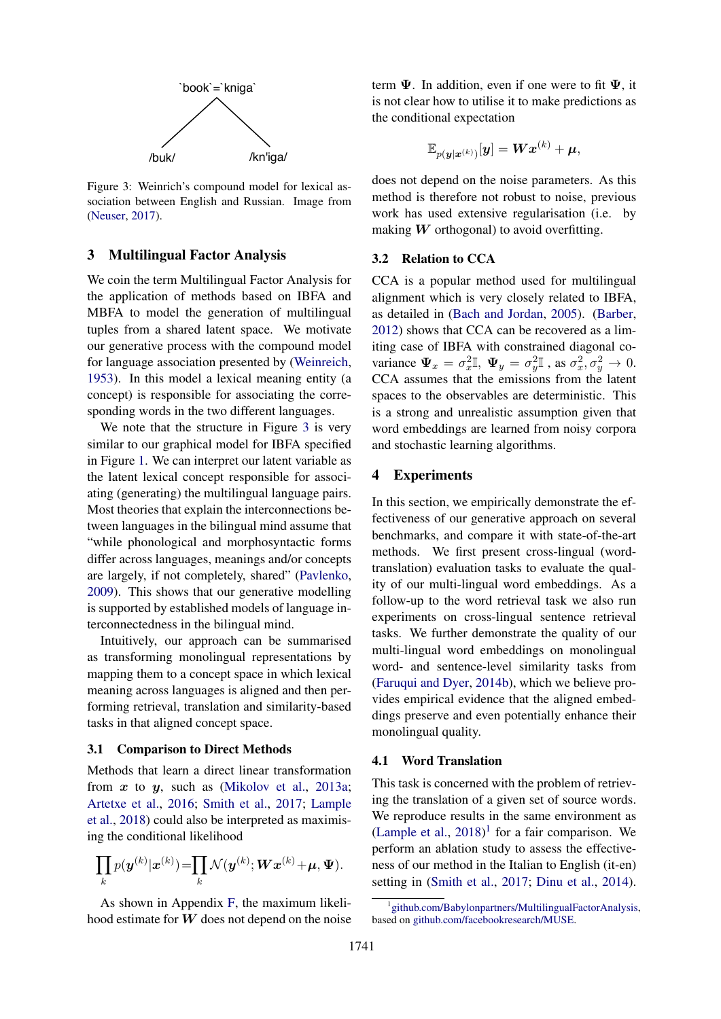

Figure 3: Weinrich's compound model for lexical association between English and Russian. Image from [\(Neuser,](#page-9-15) [2017\)](#page-9-15).

## 3 Multilingual Factor Analysis

We coin the term Multilingual Factor Analysis for the application of methods based on IBFA and MBFA to model the generation of multilingual tuples from a shared latent space. We motivate our generative process with the compound model for language association presented by [\(Weinreich,](#page-9-8) [1953\)](#page-9-8). In this model a lexical meaning entity (a concept) is responsible for associating the corresponding words in the two different languages.

<span id="page-3-0"></span>'book'=`kniga'<br>
1<br>
h's compound model for lexical as-<br>
English and Russian. Image from<br>
1<br>
al Factor Analysis<br>
1<br>
al Factor Analysis<br>
1<br>
1<br>
al Factor Analysis<br>
1<br>
1<br>
al Factor Analysis<br>
1<br>
1<br>
1<br>
al the generation of multi We note that the structure in Figure [3](#page-3-0) is very similar to our graphical model for IBFA specified in Figure [1.](#page-1-1) We can interpret our latent variable as the latent lexical concept responsible for associating (generating) the multilingual language pairs. Most theories that explain the interconnections between languages in the bilingual mind assume that "while phonological and morphosyntactic forms differ across languages, meanings and/or concepts are largely, if not completely, shared" [\(Pavlenko,](#page-9-16) [2009\)](#page-9-16). This shows that our generative modelling is supported by established models of language interconnectedness in the bilingual mind.

Intuitively, our approach can be summarised as transforming monolingual representations by mapping them to a concept space in which lexical meaning across languages is aligned and then performing retrieval, translation and similarity-based tasks in that aligned concept space.

## 3.1 Comparison to Direct Methods

Methods that learn a direct linear transformation from  $x$  to  $y$ , such as [\(Mikolov et al.,](#page-9-0) [2013a;](#page-9-0) [Artetxe et al.,](#page-8-7) [2016;](#page-8-7) [Smith et al.,](#page-9-4) [2017;](#page-9-4) [Lample](#page-9-17) [et al.,](#page-9-17) [2018\)](#page-9-17) could also be interpreted as maximising the conditional likelihood

$$
\prod_k p(\boldsymbol{y}^{(k)}|\boldsymbol{x}^{(k)})\!=\!\!\prod_k \mathcal{N}(\boldsymbol{y}^{(k)};\boldsymbol{W}\boldsymbol{x}^{(k)}\!+\!\boldsymbol{\mu},\boldsymbol{\Psi}).
$$

As shown in Appendix [F,](#page-11-0) the maximum likelihood estimate for  $W$  does not depend on the noise term  $\Psi$ . In addition, even if one were to fit  $\Psi$ , it is not clear how to utilise it to make predictions as the conditional expectation

$$
\mathbb{E}_{p(\boldsymbol{y}|\boldsymbol{x}^{(k)})}[\boldsymbol{y}] = \boldsymbol{W}\boldsymbol{x}^{(k)} + \boldsymbol{\mu},
$$

does not depend on the noise parameters. As this method is therefore not robust to noise, previous work has used extensive regularisation (i.e. by making  $W$  orthogonal) to avoid overfitting.

#### 3.2 Relation to CCA

CCA is a popular method used for multilingual alignment which is very closely related to IBFA, as detailed in [\(Bach and Jordan,](#page-8-6) [2005\)](#page-8-6). [\(Barber,](#page-8-8) [2012\)](#page-8-8) shows that CCA can be recovered as a limiting case of IBFA with constrained diagonal covariance  $\Psi_x = \sigma_x^2 \mathbb{I}$ ,  $\Psi_y = \sigma_y^2 \mathbb{I}$ , as  $\sigma_x^2, \sigma_y^2 \to 0$ . CCA assumes that the emissions from the latent spaces to the observables are deterministic. This is a strong and unrealistic assumption given that word embeddings are learned from noisy corpora and stochastic learning algorithms.

## 4 Experiments

In this section, we empirically demonstrate the effectiveness of our generative approach on several benchmarks, and compare it with state-of-the-art methods. We first present cross-lingual (wordtranslation) evaluation tasks to evaluate the quality of our multi-lingual word embeddings. As a follow-up to the word retrieval task we also run experiments on cross-lingual sentence retrieval tasks. We further demonstrate the quality of our multi-lingual word embeddings on monolingual word- and sentence-level similarity tasks from [\(Faruqui and Dyer,](#page-8-1) [2014b\)](#page-8-1), which we believe provides empirical evidence that the aligned embeddings preserve and even potentially enhance their monolingual quality.

#### 4.1 Word Translation

This task is concerned with the problem of retrieving the translation of a given set of source words. We reproduce results in the same environment as [\(Lample et al.,](#page-9-17)  $2018$  $2018$  $2018$ )<sup>1</sup> for a fair comparison. We perform an ablation study to assess the effectiveness of our method in the Italian to English (it-en) setting in [\(Smith et al.,](#page-9-4) [2017;](#page-9-4) [Dinu et al.,](#page-8-9) [2014\)](#page-8-9).

<span id="page-3-1"></span><sup>1</sup> [github.com/Babylonpartners/MultilingualFactorAnalysis,](https://github.com/Babylonpartners/MultilingualFactorAnalysis) based on [github.com/facebookresearch/MUSE.](https://github.com/facebookresearch/MUSE)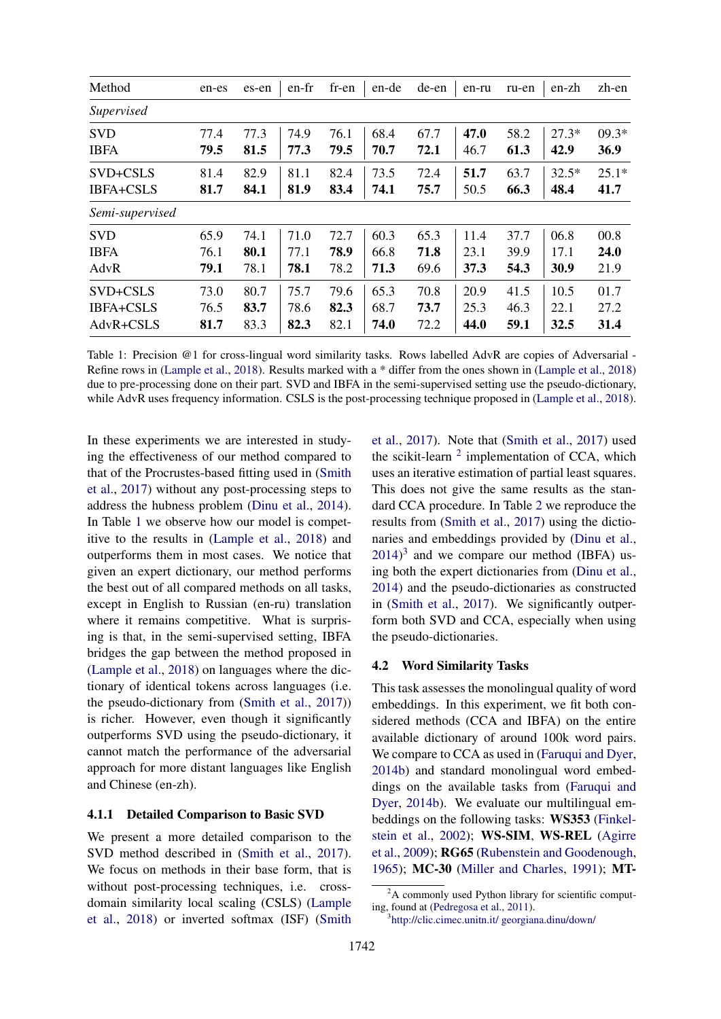<span id="page-4-0"></span>

| Method           | en-es | es-en | en-fr | fr-en | en-de | de-en | en-ru | ru-en | en-zh   | zh-en   |
|------------------|-------|-------|-------|-------|-------|-------|-------|-------|---------|---------|
| Supervised       |       |       |       |       |       |       |       |       |         |         |
| <b>SVD</b>       | 77.4  | 77.3  | 74.9  | 76.1  | 68.4  | 67.7  | 47.0  | 58.2  | $27.3*$ | $09.3*$ |
| <b>IBFA</b>      | 79.5  | 81.5  | 77.3  | 79.5  | 70.7  | 72.1  | 46.7  | 61.3  | 42.9    | 36.9    |
| SVD+CSLS         | 81.4  | 82.9  | 81.1  | 82.4  | 73.5  | 72.4  | 51.7  | 63.7  | $32.5*$ | $25.1*$ |
| <b>IBFA+CSLS</b> | 81.7  | 84.1  | 81.9  | 83.4  | 74.1  | 75.7  | 50.5  | 66.3  | 48.4    | 41.7    |
| Semi-supervised  |       |       |       |       |       |       |       |       |         |         |
| <b>SVD</b>       | 65.9  | 74.1  | 71.0  | 72.7  | 60.3  | 65.3  | 11.4  | 37.7  | 06.8    | 00.8    |
| <b>IBFA</b>      | 76.1  | 80.1  | 77.1  | 78.9  | 66.8  | 71.8  | 23.1  | 39.9  | 17.1    | 24.0    |
| AdvR             | 79.1  | 78.1  | 78.1  | 78.2  | 71.3  | 69.6  | 37.3  | 54.3  | 30.9    | 21.9    |
| SVD+CSLS         | 73.0  | 80.7  | 75.7  | 79.6  | 65.3  | 70.8  | 20.9  | 41.5  | 10.5    | 01.7    |
| <b>IBFA+CSLS</b> | 76.5  | 83.7  | 78.6  | 82.3  | 68.7  | 73.7  | 25.3  | 46.3  | 22.1    | 27.2    |
| AdvR+CSLS        | 81.7  | 83.3  | 82.3  | 82.1  | 74.0  | 72.2  | 44.0  | 59.1  | 32.5    | 31.4    |

Table 1: Precision @1 for cross-lingual word similarity tasks. Rows labelled AdvR are copies of Adversarial - Refine rows in [\(Lample et al.,](#page-9-17) [2018\)](#page-9-17). Results marked with a \* differ from the ones shown in [\(Lample et al.,](#page-9-17) [2018\)](#page-9-17) due to pre-processing done on their part. SVD and IBFA in the semi-supervised setting use the pseudo-dictionary, while AdvR uses frequency information. CSLS is the post-processing technique proposed in [\(Lample et al.,](#page-9-17) [2018\)](#page-9-17).

In these experiments we are interested in studying the effectiveness of our method compared to that of the Procrustes-based fitting used in [\(Smith](#page-9-4) [et al.,](#page-9-4) [2017\)](#page-9-4) without any post-processing steps to address the hubness problem [\(Dinu et al.,](#page-8-9) [2014\)](#page-8-9). In Table [1](#page-4-0) we observe how our model is competitive to the results in [\(Lample et al.,](#page-9-17) [2018\)](#page-9-17) and outperforms them in most cases. We notice that given an expert dictionary, our method performs the best out of all compared methods on all tasks, except in English to Russian (en-ru) translation where it remains competitive. What is surprising is that, in the semi-supervised setting, IBFA bridges the gap between the method proposed in [\(Lample et al.,](#page-9-17) [2018\)](#page-9-17) on languages where the dictionary of identical tokens across languages (i.e. the pseudo-dictionary from [\(Smith et al.,](#page-9-4) [2017\)](#page-9-4)) is richer. However, even though it significantly outperforms SVD using the pseudo-dictionary, it cannot match the performance of the adversarial approach for more distant languages like English and Chinese (en-zh).

## 4.1.1 Detailed Comparison to Basic SVD

We present a more detailed comparison to the SVD method described in [\(Smith et al.,](#page-9-4) [2017\)](#page-9-4). We focus on methods in their base form, that is without post-processing techniques, i.e. crossdomain similarity local scaling (CSLS) [\(Lample](#page-9-17) [et al.,](#page-9-17) [2018\)](#page-9-17) or inverted softmax (ISF) [\(Smith](#page-9-4)

[et al.,](#page-9-4) [2017\)](#page-9-4). Note that [\(Smith et al.,](#page-9-4) [2017\)](#page-9-4) used the scikit-learn  $2$  implementation of CCA, which uses an iterative estimation of partial least squares. This does not give the same results as the standard CCA procedure. In Table [2](#page-5-0) we reproduce the results from [\(Smith et al.,](#page-9-4) [2017\)](#page-9-4) using the dictionaries and embeddings provided by [\(Dinu et al.,](#page-8-9)  $2014$ <sup>[3](#page-4-2)</sup> and we compare our method (IBFA) using both the expert dictionaries from [\(Dinu et al.,](#page-8-9) [2014\)](#page-8-9) and the pseudo-dictionaries as constructed in [\(Smith et al.,](#page-9-4) [2017\)](#page-9-4). We significantly outperform both SVD and CCA, especially when using the pseudo-dictionaries.

#### 4.2 Word Similarity Tasks

This task assesses the monolingual quality of word embeddings. In this experiment, we fit both considered methods (CCA and IBFA) on the entire available dictionary of around 100k word pairs. We compare to CCA as used in [\(Faruqui and Dyer,](#page-8-1) [2014b\)](#page-8-1) and standard monolingual word embeddings on the available tasks from [\(Faruqui and](#page-8-1) [Dyer,](#page-8-1) [2014b\)](#page-8-1). We evaluate our multilingual embeddings on the following tasks: WS353 [\(Finkel](#page-8-10)[stein et al.,](#page-8-10) [2002\)](#page-8-10); WS-SIM, WS-REL [\(Agirre](#page-8-11) [et al.,](#page-8-11) [2009\)](#page-8-11); RG65 [\(Rubenstein and Goodenough,](#page-9-18) [1965\)](#page-9-18); MC-30 [\(Miller and Charles,](#page-9-19) [1991\)](#page-9-19); MT-

<span id="page-4-1"></span> ${}^{2}$ A commonly used Python library for scientific computing, found at [\(Pedregosa et al.,](#page-9-20) [2011\)](#page-9-20).

<span id="page-4-2"></span><sup>3</sup> [http://clic.cimec.unitn.it/ georgiana.dinu/down/](http://clic.cimec.unitn.it/~georgiana.dinu/down/)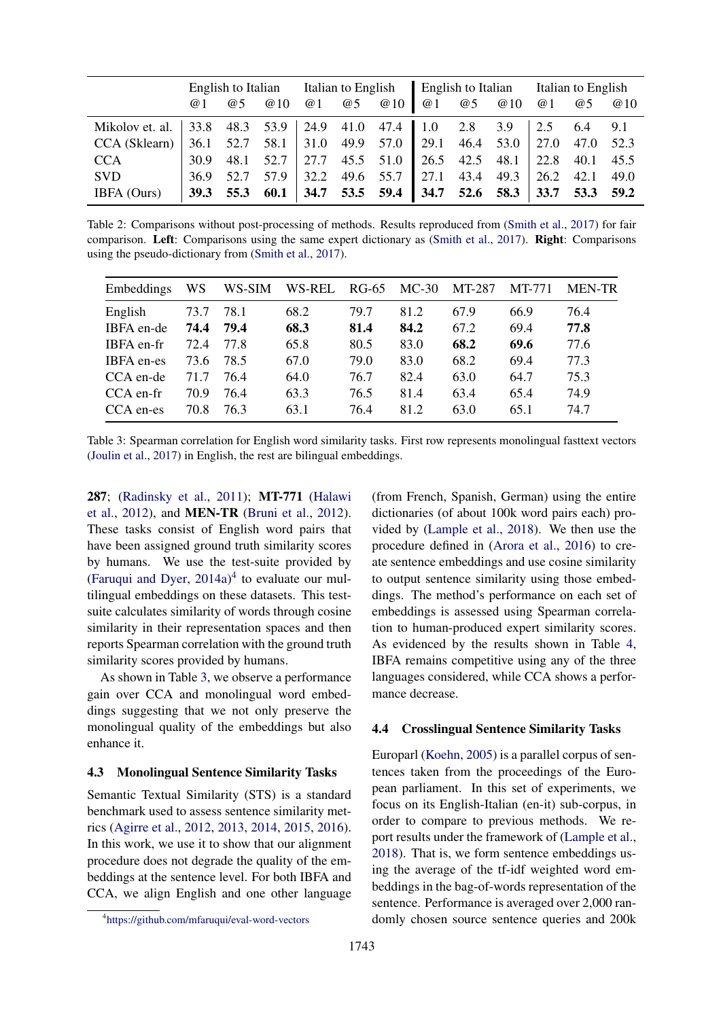<span id="page-5-0"></span>

|                                                                               |      |           | English to Italian Italian to English English to Italian Italian to English |  |  |                                                             |  |           |  |    |    |      |
|-------------------------------------------------------------------------------|------|-----------|-----------------------------------------------------------------------------|--|--|-------------------------------------------------------------|--|-----------|--|----|----|------|
|                                                                               | @ 1  | <b>@5</b> | @10                                                                         |  |  | $@1$ $@5$ $@10$                                             |  | @1 @5 @10 |  | @1 | @5 | @10  |
| Mikolov et. al.   33.8 48.3 53.9   24.9 41.0 47.4   1.0 2.8 3.9   2.5 6.4 9.1 |      |           |                                                                             |  |  |                                                             |  |           |  |    |    |      |
| CCA (Sklearn)                                                                 |      |           |                                                                             |  |  | 36.1 52.7 58.1 31.0 49.9 57.0 29.1 46.4 53.0 27.0 47.0 52.3 |  |           |  |    |    |      |
| <b>CCA</b>                                                                    |      |           |                                                                             |  |  | 30.9 48.1 52.7 27.7 45.5 51.0 26.5 42.5 48.1 22.8 40.1 45.5 |  |           |  |    |    |      |
| <b>SVD</b>                                                                    | 36.9 | 52.7      |                                                                             |  |  | $57.9$   32.2 49.6 55.7   27.1 43.4 49.3   26.2 42.1        |  |           |  |    |    | 49.0 |
| IBFA (Ours)                                                                   |      |           | $39.3$ 55.3 60.1                                                            |  |  |                                                             |  |           |  |    |    |      |

Table 2: Comparisons without post-processing of methods. Results reproduced from [\(Smith et al.,](#page-9-4) [2017\)](#page-9-4) for fair comparison. Left: Comparisons using the same expert dictionary as [\(Smith et al.,](#page-9-4) [2017\)](#page-9-4). Right: Comparisons using the pseudo-dictionary from [\(Smith et al.,](#page-9-4) [2017\)](#page-9-4).

<span id="page-5-2"></span>

| Embeddings | WS   | WS-SIM | WS-REL | RG-65 | $MC-30$ | MT-287 | MT-771 | <b>MEN-TR</b> |
|------------|------|--------|--------|-------|---------|--------|--------|---------------|
| English    | 73.7 | 78.1   | 68.2   | 79.7  | 81.2    | 67.9   | 66.9   | 76.4          |
| IBFA en-de | 74.4 | 79.4   | 68.3   | 81.4  | 84.2    | 67.2   | 69.4   | 77.8          |
| IBFA en-fr | 72.4 | 77.8   | 65.8   | 80.5  | 83.0    | 68.2   | 69.6   | 77.6          |
| IBFA en-es | 73.6 | 78.5   | 67.0   | 79.0  | 83.0    | 68.2   | 69.4   | 77.3          |
| CCA en-de  | 71.7 | 76.4   | 64.0   | 76.7  | 82.4    | 63.0   | 64.7   | 75.3          |
| CCA en-fr  | 70.9 | 76.4   | 63.3   | 76.5  | 81.4    | 63.4   | 65.4   | 74.9          |
| CCA en-es  | 70.8 | 76.3   | 63.1   | 76.4  | 81.2    | 63.0   | 65.1   | 74.7          |

Table 3: Spearman correlation for English word similarity tasks. First row represents monolingual fasttext vectors [\(Joulin et al.,](#page-9-3) [2017\)](#page-9-3) in English, the rest are bilingual embeddings.

287; [\(Radinsky et al.,](#page-9-21) [2011\)](#page-9-21); MT-771 [\(Halawi](#page-9-22) [et al.,](#page-9-22) [2012\)](#page-9-22), and MEN-TR [\(Bruni et al.,](#page-8-12) [2012\)](#page-8-12). These tasks consist of English word pairs that have been assigned ground truth similarity scores by humans. We use the test-suite provided by [\(Faruqui and Dyer,](#page-8-13)  $2014a$  $2014a$  $2014a$ )<sup>4</sup> to evaluate our multilingual embeddings on these datasets. This testsuite calculates similarity of words through cosine similarity in their representation spaces and then reports Spearman correlation with the ground truth similarity scores provided by humans.

As shown in Table [3,](#page-5-2) we observe a performance gain over CCA and monolingual word embeddings suggesting that we not only preserve the monolingual quality of the embeddings but also enhance it.

#### 4.3 Monolingual Sentence Similarity Tasks

Semantic Textual Similarity (STS) is a standard benchmark used to assess sentence similarity metrics [\(Agirre et al.,](#page-8-14) [2012,](#page-8-14) [2013,](#page-8-15) [2014,](#page-8-16) [2015,](#page-8-17) [2016\)](#page-8-18). In this work, we use it to show that our alignment procedure does not degrade the quality of the embeddings at the sentence level. For both IBFA and CCA, we align English and one other language

(from French, Spanish, German) using the entire dictionaries (of about 100k word pairs each) provided by [\(Lample et al.,](#page-9-17) [2018\)](#page-9-17). We then use the procedure defined in [\(Arora et al.,](#page-8-19) [2016\)](#page-8-19) to create sentence embeddings and use cosine similarity to output sentence similarity using those embeddings. The method's performance on each set of embeddings is assessed using Spearman correlation to human-produced expert similarity scores. As evidenced by the results shown in Table [4,](#page-6-0) IBFA remains competitive using any of the three languages considered, while CCA shows a performance decrease.

## 4.4 Crosslingual Sentence Similarity Tasks

Europarl [\(Koehn,](#page-9-23) [2005\)](#page-9-23) is a parallel corpus of sentences taken from the proceedings of the European parliament. In this set of experiments, we focus on its English-Italian (en-it) sub-corpus, in order to compare to previous methods. We report results under the framework of [\(Lample et al.,](#page-9-17) [2018\)](#page-9-17). That is, we form sentence embeddings using the average of the tf-idf weighted word embeddings in the bag-of-words representation of the sentence. Performance is averaged over 2,000 randomly chosen source sentence queries and 200k

<span id="page-5-1"></span><sup>4</sup> <https://github.com/mfaruqui/eval-word-vectors>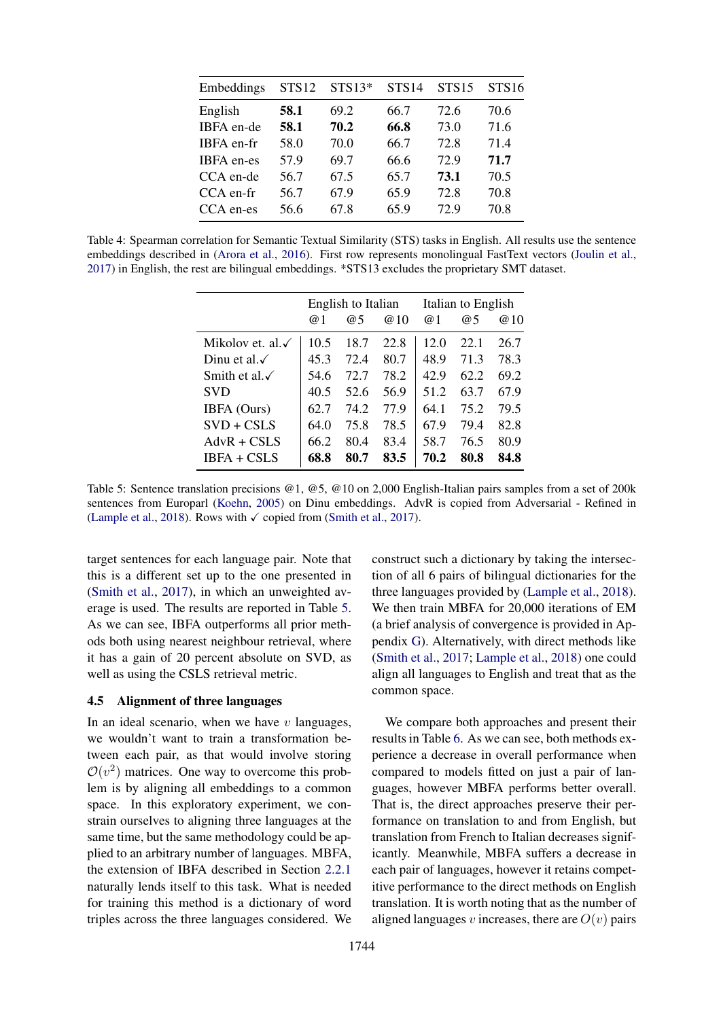<span id="page-6-0"></span>

| Embeddings        | <b>STS12</b> | $STS13*$ | STS <sub>14</sub> | <b>STS15</b> | <b>STS16</b> |
|-------------------|--------------|----------|-------------------|--------------|--------------|
| English           | 58.1         | 69.2     | 66.7              | 72.6         | 70.6         |
| IBFA en-de        | 58.1         | 70.2     | 66.8              | 73.0         | 71.6         |
| IBFA en-fr        | 58.0         | 70.0     | 66.7              | 72.8         | 71.4         |
| <b>IBFA</b> en-es | 57.9         | 69.7     | 66.6              | 72.9         | 71.7         |
| CCA en-de         | 56.7         | 67.5     | 65.7              | 73.1         | 70.5         |
| CCA en-fr         | 56.7         | 67.9     | 65.9              | 72.8         | 70.8         |
| CCA en-es         | 56.6         | 67.8     | 65.9              | 72.9         | 70.8         |

<span id="page-6-1"></span>Table 4: Spearman correlation for Semantic Textual Similarity (STS) tasks in English. All results use the sentence embeddings described in [\(Arora et al.,](#page-8-19) [2016\)](#page-8-19). First row represents monolingual FastText vectors [\(Joulin et al.,](#page-9-3) [2017\)](#page-9-3) in English, the rest are bilingual embeddings. \*STS13 excludes the proprietary SMT dataset.

|                              |            | English to Italian |      | Italian to English |      |      |  |
|------------------------------|------------|--------------------|------|--------------------|------|------|--|
|                              | $\omega$ 1 | @5                 | @10  | $\omega$ 1         | @5   | @10  |  |
| Mikolov et. al. $\checkmark$ | 10.5       | 18.7               | 22.8 | 12.0               | 22.1 | 26.7 |  |
| Dinu et al. $\checkmark$     | 45.3       | 72.4               | 80.7 | 48.9               | 71.3 | 78.3 |  |
| Smith et al. $\checkmark$    | 54.6       | 72.7               | 78.2 | 42.9               | 62.2 | 69.2 |  |
| <b>SVD</b>                   | 40.5       | 52.6               | 56.9 | 51.2               | 63.7 | 67.9 |  |
| IBFA (Ours)                  | 62.7       | 74.2               | 77.9 | 64.1               | 75.2 | 79.5 |  |
| $SVD + CSLS$                 | 64.0       | 75.8               | 78.5 | 67.9               | 79.4 | 82.8 |  |
| $AdvR + CSLS$                | 66.2       | 80.4               | 83.4 | 58.7               | 76.5 | 80.9 |  |
| <b>IBFA + CSLS</b>           | 68.8       | 80.7               | 83.5 | 70.2               | 80.8 | 84.8 |  |

Table 5: Sentence translation precisions @1, @5, @10 on 2,000 English-Italian pairs samples from a set of 200k sentences from Europarl [\(Koehn,](#page-9-23) [2005\)](#page-9-23) on Dinu embeddings. AdvR is copied from Adversarial - Refined in [\(Lample et al.,](#page-9-17) [2018\)](#page-9-17). Rows with  $\checkmark$  copied from [\(Smith et al.,](#page-9-4) [2017\)](#page-9-4).

target sentences for each language pair. Note that this is a different set up to the one presented in [\(Smith et al.,](#page-9-4) [2017\)](#page-9-4), in which an unweighted average is used. The results are reported in Table [5.](#page-6-1) As we can see, IBFA outperforms all prior methods both using nearest neighbour retrieval, where it has a gain of 20 percent absolute on SVD, as well as using the CSLS retrieval metric.

## 4.5 Alignment of three languages

In an ideal scenario, when we have  $v$  languages, we wouldn't want to train a transformation between each pair, as that would involve storing  $\mathcal{O}(v^2)$  matrices. One way to overcome this problem is by aligning all embeddings to a common space. In this exploratory experiment, we constrain ourselves to aligning three languages at the same time, but the same methodology could be applied to an arbitrary number of languages. MBFA, the extension of IBFA described in Section [2.2.1](#page-2-1) naturally lends itself to this task. What is needed for training this method is a dictionary of word triples across the three languages considered. We

construct such a dictionary by taking the intersection of all 6 pairs of bilingual dictionaries for the three languages provided by [\(Lample et al.,](#page-9-17) [2018\)](#page-9-17). We then train MBFA for 20,000 iterations of EM (a brief analysis of convergence is provided in Appendix [G\)](#page-12-0). Alternatively, with direct methods like [\(Smith et al.,](#page-9-4) [2017;](#page-9-4) [Lample et al.,](#page-9-17) [2018\)](#page-9-17) one could align all languages to English and treat that as the common space.

We compare both approaches and present their results in Table [6.](#page-7-0) As we can see, both methods experience a decrease in overall performance when compared to models fitted on just a pair of languages, however MBFA performs better overall. That is, the direct approaches preserve their performance on translation to and from English, but translation from French to Italian decreases significantly. Meanwhile, MBFA suffers a decrease in each pair of languages, however it retains competitive performance to the direct methods on English translation. It is worth noting that as the number of aligned languages v increases, there are  $O(v)$  pairs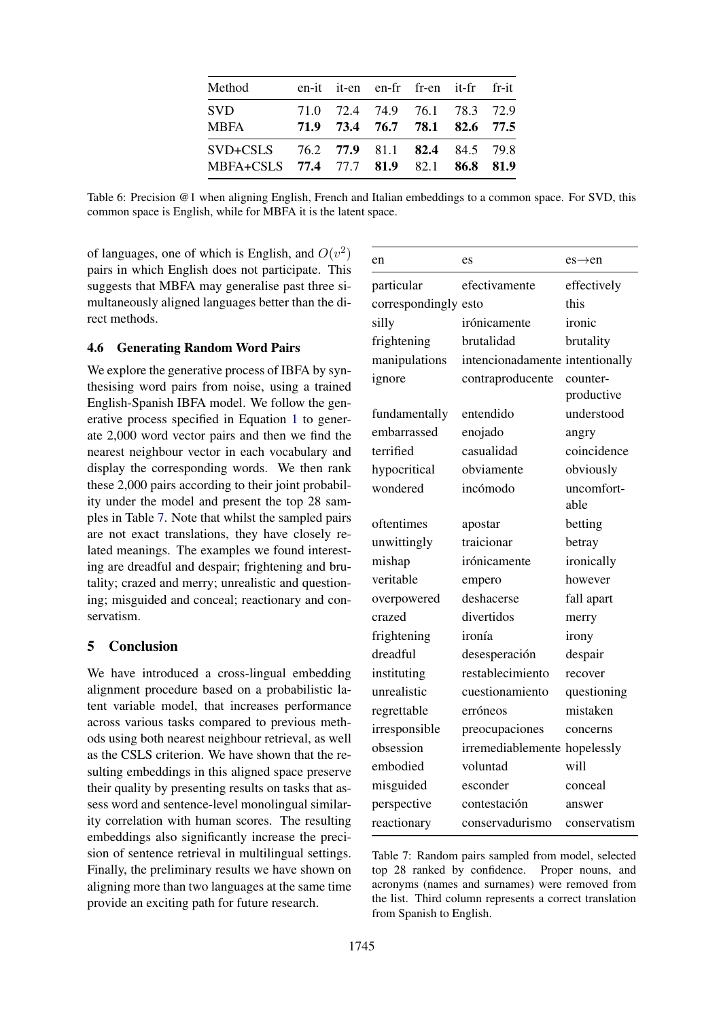<span id="page-7-0"></span>

| Method                                                                            |  | en-it it-en en-fr fr-en it-fr fr-it                            |  |  |
|-----------------------------------------------------------------------------------|--|----------------------------------------------------------------|--|--|
| <b>SVD</b><br><b>MBFA</b>                                                         |  | 71.0 72.4 74.9 76.1 78.3 72.9<br>71.9 73.4 76.7 78.1 82.6 77.5 |  |  |
| SVD+CSLS 76.2 77.9 81.1 82.4 84.5 79.8<br>MBFA+CSLS 77.4 77.7 81.9 82.1 86.8 81.9 |  |                                                                |  |  |

Table 6: Precision @1 when aligning English, French and Italian embeddings to a common space. For SVD, this common space is English, while for MBFA it is the latent space.

of languages, one of which is English, and  $O(v^2)$ pairs in which English does not participate. This suggests that MBFA may generalise past three simultaneously aligned languages better than the direct methods.

## 4.6 Generating Random Word Pairs

We explore the generative process of IBFA by synthesising word pairs from noise, using a trained English-Spanish IBFA model. We follow the generative process specified in Equation [1](#page-1-3) to generate 2,000 word vector pairs and then we find the nearest neighbour vector in each vocabulary and display the corresponding words. We then rank these 2,000 pairs according to their joint probability under the model and present the top 28 samples in Table [7.](#page-7-1) Note that whilst the sampled pairs are not exact translations, they have closely related meanings. The examples we found interesting are dreadful and despair; frightening and brutality; crazed and merry; unrealistic and questioning; misguided and conceal; reactionary and conservatism.

## 5 Conclusion

We have introduced a cross-lingual embedding alignment procedure based on a probabilistic latent variable model, that increases performance across various tasks compared to previous methods using both nearest neighbour retrieval, as well as the CSLS criterion. We have shown that the resulting embeddings in this aligned space preserve their quality by presenting results on tasks that assess word and sentence-level monolingual similarity correlation with human scores. The resulting embeddings also significantly increase the precision of sentence retrieval in multilingual settings. Finally, the preliminary results we have shown on aligning more than two languages at the same time provide an exciting path for future research.

<span id="page-7-1"></span>

| en                   | es                              | $es \rightarrow en$ |
|----------------------|---------------------------------|---------------------|
| particular           | efectivamente                   | effectively         |
| correspondingly esto |                                 | this                |
| silly                | irónicamente                    | ironic              |
| frightening          | brutalidad                      | brutality           |
| manipulations        | intencionadamente intentionally |                     |
| ignore               | contraproducente                | counter-            |
|                      |                                 | productive          |
| fundamentally        | entendido                       | understood          |
| embarrassed          | enojado                         | angry               |
| terrified            | casualidad                      | coincidence         |
| hypocritical         | obviamente                      | obviously           |
| wondered             | incómodo                        | uncomfort-          |
|                      |                                 | able                |
| oftentimes           | apostar                         | betting             |
| unwittingly          | traicionar                      | betray              |
| mishap               | irónicamente                    | ironically          |
| veritable            | empero                          | however             |
| overpowered          | deshacerse                      | fall apart          |
| crazed               | divertidos                      | merry               |
| frightening          | ironía                          | irony               |
| dreadful             | desesperación                   | despair             |
| instituting          | restablecimiento                | recover             |
| unrealistic          | cuestionamiento                 | questioning         |
| regrettable          | erróneos                        | mistaken            |
| irresponsible        | preocupaciones                  | concerns            |
| obsession            | irremediablemente hopelessly    |                     |
| embodied             | voluntad                        | will                |
| misguided            | esconder                        | conceal             |
| perspective          | contestación                    | answer              |
| reactionary          | conservadurismo                 | conservatism        |

Table 7: Random pairs sampled from model, selected top 28 ranked by confidence. Proper nouns, and acronyms (names and surnames) were removed from the list. Third column represents a correct translation from Spanish to English.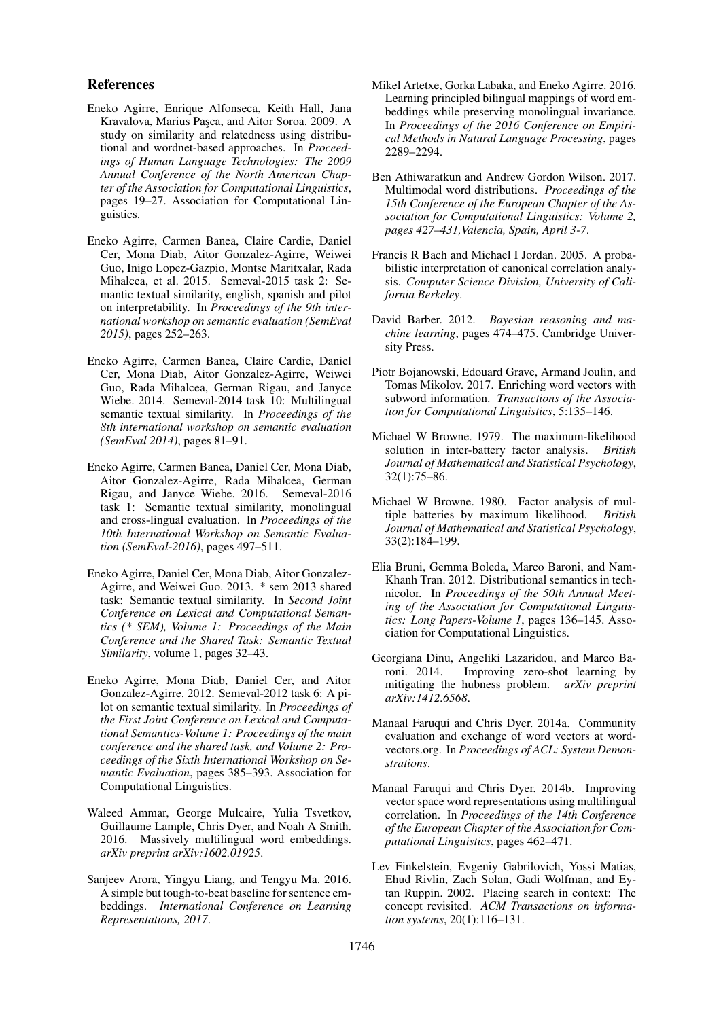## References

- <span id="page-8-11"></span>Eneko Agirre, Enrique Alfonseca, Keith Hall, Jana Kravalova, Marius Pasca, and Aitor Soroa. 2009. A study on similarity and relatedness using distributional and wordnet-based approaches. In *Proceedings of Human Language Technologies: The 2009 Annual Conference of the North American Chapter of the Association for Computational Linguistics*, pages 19–27. Association for Computational Linguistics.
- <span id="page-8-17"></span>Eneko Agirre, Carmen Banea, Claire Cardie, Daniel Cer, Mona Diab, Aitor Gonzalez-Agirre, Weiwei Guo, Inigo Lopez-Gazpio, Montse Maritxalar, Rada Mihalcea, et al. 2015. Semeval-2015 task 2: Semantic textual similarity, english, spanish and pilot on interpretability. In *Proceedings of the 9th international workshop on semantic evaluation (SemEval 2015)*, pages 252–263.
- <span id="page-8-16"></span>Eneko Agirre, Carmen Banea, Claire Cardie, Daniel Cer, Mona Diab, Aitor Gonzalez-Agirre, Weiwei Guo, Rada Mihalcea, German Rigau, and Janyce Wiebe. 2014. Semeval-2014 task 10: Multilingual semantic textual similarity. In *Proceedings of the 8th international workshop on semantic evaluation (SemEval 2014)*, pages 81–91.
- <span id="page-8-18"></span>Eneko Agirre, Carmen Banea, Daniel Cer, Mona Diab, Aitor Gonzalez-Agirre, Rada Mihalcea, German Rigau, and Janyce Wiebe. 2016. Semeval-2016 task 1: Semantic textual similarity, monolingual and cross-lingual evaluation. In *Proceedings of the 10th International Workshop on Semantic Evaluation (SemEval-2016)*, pages 497–511.
- <span id="page-8-15"></span>Eneko Agirre, Daniel Cer, Mona Diab, Aitor Gonzalez-Agirre, and Weiwei Guo. 2013. \* sem 2013 shared task: Semantic textual similarity. In *Second Joint Conference on Lexical and Computational Semantics (\* SEM), Volume 1: Proceedings of the Main Conference and the Shared Task: Semantic Textual Similarity*, volume 1, pages 32–43.
- <span id="page-8-14"></span>Eneko Agirre, Mona Diab, Daniel Cer, and Aitor Gonzalez-Agirre. 2012. Semeval-2012 task 6: A pilot on semantic textual similarity. In *Proceedings of the First Joint Conference on Lexical and Computational Semantics-Volume 1: Proceedings of the main conference and the shared task, and Volume 2: Proceedings of the Sixth International Workshop on Semantic Evaluation*, pages 385–393. Association for Computational Linguistics.
- <span id="page-8-4"></span>Waleed Ammar, George Mulcaire, Yulia Tsvetkov, Guillaume Lample, Chris Dyer, and Noah A Smith. 2016. Massively multilingual word embeddings. *arXiv preprint arXiv:1602.01925*.
- <span id="page-8-19"></span>Sanjeev Arora, Yingyu Liang, and Tengyu Ma. 2016. A simple but tough-to-beat baseline for sentence embeddings. *International Conference on Learning Representations, 2017*.
- <span id="page-8-7"></span>Mikel Artetxe, Gorka Labaka, and Eneko Agirre. 2016. Learning principled bilingual mappings of word embeddings while preserving monolingual invariance. In *Proceedings of the 2016 Conference on Empirical Methods in Natural Language Processing*, pages 2289–2294.
- <span id="page-8-5"></span>Ben Athiwaratkun and Andrew Gordon Wilson. 2017. Multimodal word distributions. *Proceedings of the 15th Conference of the European Chapter of the Association for Computational Linguistics: Volume 2, pages 427–431,Valencia, Spain, April 3-7*.
- <span id="page-8-6"></span>Francis R Bach and Michael I Jordan. 2005. A probabilistic interpretation of canonical correlation analysis. *Computer Science Division, University of California Berkeley*.
- <span id="page-8-8"></span>David Barber. 2012. *Bayesian reasoning and machine learning*, pages 474–475. Cambridge University Press.
- <span id="page-8-0"></span>Piotr Bojanowski, Edouard Grave, Armand Joulin, and Tomas Mikolov. 2017. Enriching word vectors with subword information. *Transactions of the Association for Computational Linguistics*, 5:135–146.
- <span id="page-8-2"></span>Michael W Browne. 1979. The maximum-likelihood solution in inter-battery factor analysis. *British Journal of Mathematical and Statistical Psychology*, 32(1):75–86.
- <span id="page-8-3"></span>Michael W Browne. 1980. Factor analysis of multiple batteries by maximum likelihood. *British Journal of Mathematical and Statistical Psychology*, 33(2):184–199.
- <span id="page-8-12"></span>Elia Bruni, Gemma Boleda, Marco Baroni, and Nam-Khanh Tran. 2012. Distributional semantics in technicolor. In *Proceedings of the 50th Annual Meeting of the Association for Computational Linguistics: Long Papers-Volume 1*, pages 136–145. Association for Computational Linguistics.
- <span id="page-8-9"></span>Georgiana Dinu, Angeliki Lazaridou, and Marco Baroni. 2014. Improving zero-shot learning by mitigating the hubness problem. *arXiv preprint arXiv:1412.6568*.
- <span id="page-8-13"></span>Manaal Faruqui and Chris Dyer. 2014a. Community evaluation and exchange of word vectors at wordvectors.org. In *Proceedings of ACL: System Demonstrations*.
- <span id="page-8-1"></span>Manaal Faruqui and Chris Dyer. 2014b. Improving vector space word representations using multilingual correlation. In *Proceedings of the 14th Conference of the European Chapter of the Association for Computational Linguistics*, pages 462–471.
- <span id="page-8-10"></span>Lev Finkelstein, Evgeniy Gabrilovich, Yossi Matias, Ehud Rivlin, Zach Solan, Gadi Wolfman, and Eytan Ruppin. 2002. Placing search in context: The concept revisited. *ACM Transactions on information systems*, 20(1):116–131.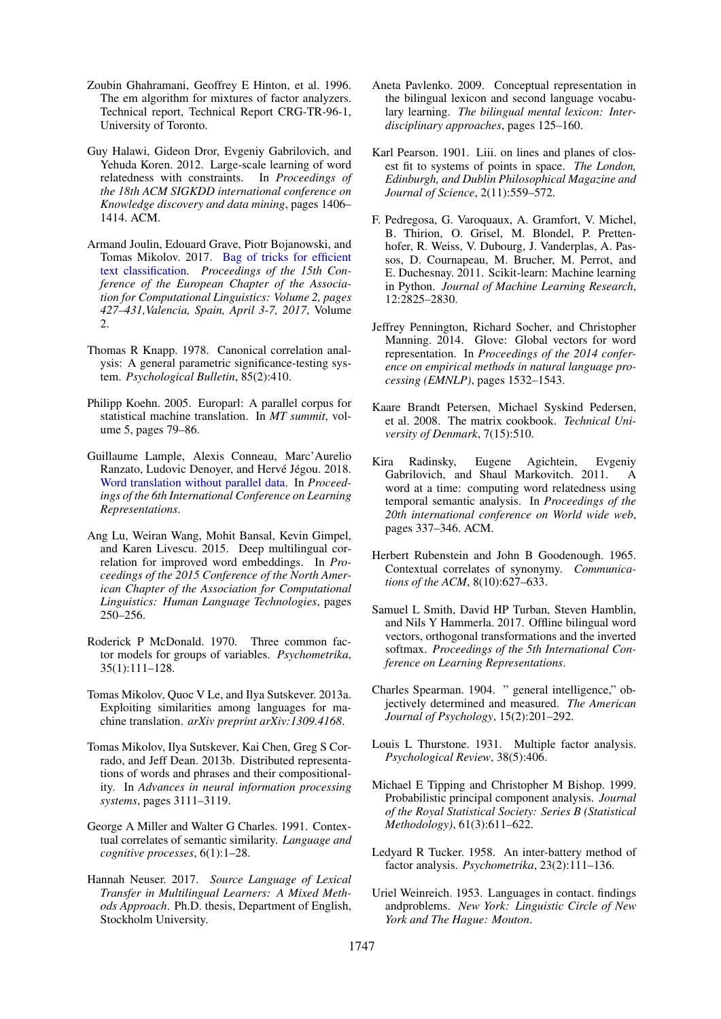- <span id="page-9-10"></span>Zoubin Ghahramani, Geoffrey E Hinton, et al. 1996. The em algorithm for mixtures of factor analyzers. Technical report, Technical Report CRG-TR-96-1, University of Toronto.
- <span id="page-9-22"></span>Guy Halawi, Gideon Dror, Evgeniy Gabrilovich, and Yehuda Koren. 2012. Large-scale learning of word relatedness with constraints. In *Proceedings of the 18th ACM SIGKDD international conference on Knowledge discovery and data mining*, pages 1406– 1414. ACM.
- <span id="page-9-3"></span>Armand Joulin, Edouard Grave, Piotr Bojanowski, and Tomas Mikolov. 2017. [Bag of tricks for efficient](https://www.aclweb.org/anthology/E17-2068) [text classification.](https://www.aclweb.org/anthology/E17-2068) *Proceedings of the 15th Conference of the European Chapter of the Association for Computational Linguistics: Volume 2, pages 427–431,Valencia, Spain, April 3-7, 2017*, Volume  $2.2$
- <span id="page-9-5"></span>Thomas R Knapp. 1978. Canonical correlation analysis: A general parametric significance-testing system. *Psychological Bulletin*, 85(2):410.
- <span id="page-9-23"></span>Philipp Koehn. 2005. Europarl: A parallel corpus for statistical machine translation. In *MT summit*, volume 5, pages 79–86.
- <span id="page-9-17"></span>Guillaume Lample, Alexis Conneau, Marc'Aurelio Ranzato, Ludovic Denoyer, and Hervé Jégou. 2018. [Word translation without parallel data.](https://openreview.net/forum?id=H196sainb) In *Proceedings of the 6th International Conference on Learning Representations*.
- <span id="page-9-6"></span>Ang Lu, Weiran Wang, Mohit Bansal, Kevin Gimpel, and Karen Livescu. 2015. Deep multilingual correlation for improved word embeddings. In *Proceedings of the 2015 Conference of the North American Chapter of the Association for Computational Linguistics: Human Language Technologies*, pages 250–256.
- <span id="page-9-7"></span>Roderick P McDonald. 1970. Three common factor models for groups of variables. *Psychometrika*, 35(1):111–128.
- <span id="page-9-0"></span>Tomas Mikolov, Quoc V Le, and Ilya Sutskever. 2013a. Exploiting similarities among languages for machine translation. *arXiv preprint arXiv:1309.4168*.
- <span id="page-9-1"></span>Tomas Mikolov, Ilya Sutskever, Kai Chen, Greg S Corrado, and Jeff Dean. 2013b. Distributed representations of words and phrases and their compositionality. In *Advances in neural information processing systems*, pages 3111–3119.
- <span id="page-9-19"></span>George A Miller and Walter G Charles. 1991. Contextual correlates of semantic similarity. *Language and cognitive processes*, 6(1):1–28.
- <span id="page-9-15"></span>Hannah Neuser. 2017. *Source Language of Lexical Transfer in Multilingual Learners: A Mixed Methods Approach*. Ph.D. thesis, Department of English, Stockholm University.
- <span id="page-9-16"></span>Aneta Pavlenko. 2009. Conceptual representation in the bilingual lexicon and second language vocabulary learning. *The bilingual mental lexicon: Interdisciplinary approaches*, pages 125–160.
- <span id="page-9-13"></span>Karl Pearson. 1901. Liii. on lines and planes of closest fit to systems of points in space. *The London, Edinburgh, and Dublin Philosophical Magazine and Journal of Science*, 2(11):559–572.
- <span id="page-9-20"></span>F. Pedregosa, G. Varoquaux, A. Gramfort, V. Michel, B. Thirion, O. Grisel, M. Blondel, P. Prettenhofer, R. Weiss, V. Dubourg, J. Vanderplas, A. Passos, D. Cournapeau, M. Brucher, M. Perrot, and E. Duchesnay. 2011. Scikit-learn: Machine learning in Python. *Journal of Machine Learning Research*, 12:2825–2830.
- <span id="page-9-2"></span>Jeffrey Pennington, Richard Socher, and Christopher Manning. 2014. Glove: Global vectors for word representation. In *Proceedings of the 2014 conference on empirical methods in natural language processing (EMNLP)*, pages 1532–1543.
- <span id="page-9-24"></span>Kaare Brandt Petersen, Michael Syskind Pedersen, et al. 2008. The matrix cookbook. *Technical University of Denmark*, 7(15):510.
- <span id="page-9-21"></span>Kira Radinsky, Eugene Agichtein, Evgeniy Gabrilovich, and Shaul Markovitch. 2011. A word at a time: computing word relatedness using temporal semantic analysis. In *Proceedings of the 20th international conference on World wide web*, pages 337–346. ACM.
- <span id="page-9-18"></span>Herbert Rubenstein and John B Goodenough. 1965. Contextual correlates of synonymy. *Communications of the ACM*, 8(10):627–633.
- <span id="page-9-4"></span>Samuel L Smith, David HP Turban, Steven Hamblin, and Nils Y Hammerla. 2017. Offline bilingual word vectors, orthogonal transformations and the inverted softmax. *Proceedings of the 5th International Conference on Learning Representations*.
- <span id="page-9-11"></span>Charles Spearman. 1904. " general intelligence," objectively determined and measured. *The American Journal of Psychology*, 15(2):201–292.
- <span id="page-9-12"></span>Louis L Thurstone. 1931. Multiple factor analysis. *Psychological Review*, 38(5):406.
- <span id="page-9-9"></span>Michael E Tipping and Christopher M Bishop. 1999. Probabilistic principal component analysis. *Journal of the Royal Statistical Society: Series B (Statistical Methodology)*, 61(3):611–622.
- <span id="page-9-14"></span>Ledyard R Tucker. 1958. An inter-battery method of factor analysis. *Psychometrika*, 23(2):111–136.
- <span id="page-9-8"></span>Uriel Weinreich. 1953. Languages in contact. findings andproblems. *New York: Linguistic Circle of New York and The Hague: Mouton*.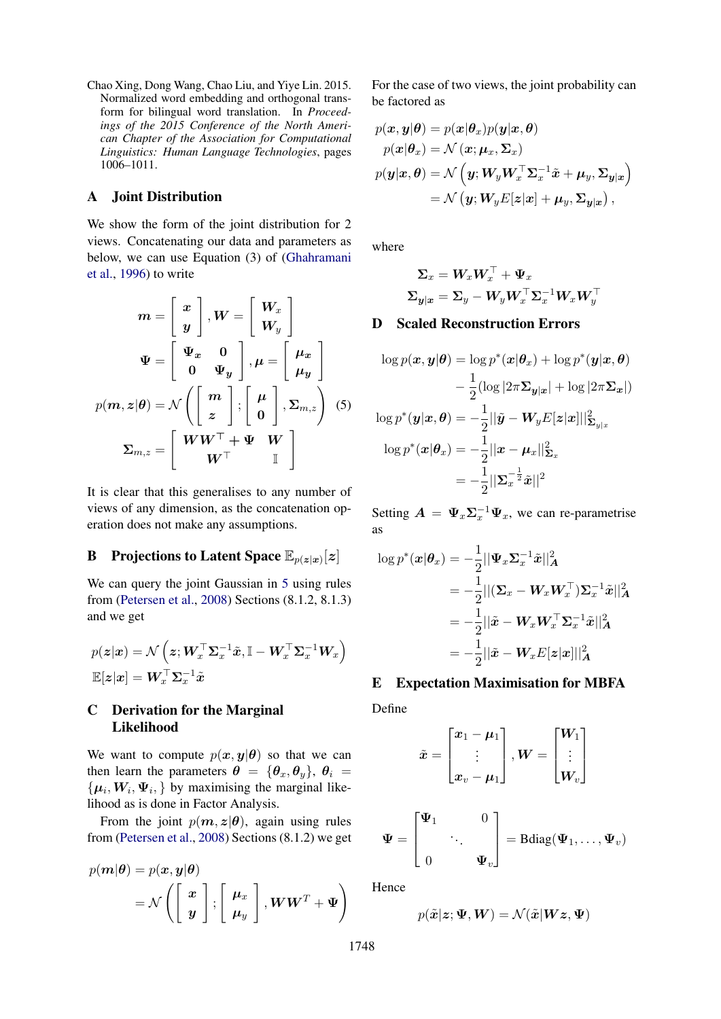<span id="page-10-0"></span>Chao Xing, Dong Wang, Chao Liu, and Yiye Lin. 2015. Normalized word embedding and orthogonal transform for bilingual word translation. In *Proceedings of the 2015 Conference of the North American Chapter of the Association for Computational Linguistics: Human Language Technologies*, pages 1006–1011.

## A Joint Distribution

We show the form of the joint distribution for 2 views. Concatenating our data and parameters as below, we can use Equation (3) of [\(Ghahramani](#page-9-10) [et al.,](#page-9-10) [1996\)](#page-9-10) to write

$$
m = \begin{bmatrix} x \\ y \end{bmatrix}, W = \begin{bmatrix} W_x \\ W_y \end{bmatrix}
$$

$$
\Psi = \begin{bmatrix} \Psi_x & 0 \\ 0 & \Psi_y \end{bmatrix}, \mu = \begin{bmatrix} \mu_x \\ \mu_y \end{bmatrix}
$$

$$
p(m, z | \theta) = \mathcal{N} \left( \begin{bmatrix} m \\ z \end{bmatrix}, \begin{bmatrix} \mu \\ 0 \end{bmatrix}, \Sigma_{m, z} \right) (5)
$$

$$
\Sigma_{m, z} = \begin{bmatrix} WW^\top + \Psi & W \\ W^\top & \mathbb{I} \end{bmatrix}
$$

It is clear that this generalises to any number of views of any dimension, as the concatenation operation does not make any assumptions.

# <span id="page-10-2"></span>**B** Projections to Latent Space  $\mathbb{E}_{p(z|x)}[z]$

We can query the joint Gaussian in [5](#page-10-4) using rules from [\(Petersen et al.,](#page-9-24) [2008\)](#page-9-24) Sections (8.1.2, 8.1.3) and we get

$$
\begin{aligned} &p(\boldsymbol{z}|\boldsymbol{x}) = \mathcal{N}\left(\boldsymbol{z}; \boldsymbol{W}_{\boldsymbol{x}}^\top \boldsymbol{\Sigma}_{\boldsymbol{x}}^{-1} \tilde{\boldsymbol{x}}, \mathbb{I} - \boldsymbol{W}_{\boldsymbol{x}}^\top \boldsymbol{\Sigma}_{\boldsymbol{x}}^{-1} \boldsymbol{W}_{\boldsymbol{x}}\right) \\ &\mathbb{E}[\boldsymbol{z}|\boldsymbol{x}] = \boldsymbol{W}_{\boldsymbol{x}}^\top \boldsymbol{\Sigma}_{\boldsymbol{x}}^{-1} \tilde{\boldsymbol{x}} \end{aligned}
$$

## C Derivation for the Marginal Likelihood

We want to compute  $p(x, y | \theta)$  so that we can then learn the parameters  $\theta = {\theta_x, \theta_y}, \theta_i =$  $\{\mu_i, W_i, \Psi_i, \}$  by maximising the marginal likelihood as is done in Factor Analysis.

From the joint  $p(m, z | \theta)$ , again using rules from [\(Petersen et al.,](#page-9-24) [2008\)](#page-9-24) Sections (8.1.2) we get

$$
p(\boldsymbol{m}|\boldsymbol{\theta}) = p(\boldsymbol{x}, \boldsymbol{y}|\boldsymbol{\theta})
$$
  
=  $\mathcal{N}\left(\begin{bmatrix} \boldsymbol{x} \\ \boldsymbol{y} \end{bmatrix}; \begin{bmatrix} \boldsymbol{\mu}_x \\ \boldsymbol{\mu}_y \end{bmatrix}, \boldsymbol{WW}^T + \boldsymbol{\Psi}\right)$ 

For the case of two views, the joint probability can be factored as

$$
p(\mathbf{x}, \mathbf{y} | \boldsymbol{\theta}) = p(\mathbf{x} | \boldsymbol{\theta}_x) p(\mathbf{y} | \mathbf{x}, \boldsymbol{\theta})
$$
  
\n
$$
p(\mathbf{x} | \boldsymbol{\theta}_x) = \mathcal{N}(\mathbf{x}; \boldsymbol{\mu}_x, \boldsymbol{\Sigma}_x)
$$
  
\n
$$
p(\mathbf{y} | \mathbf{x}, \boldsymbol{\theta}) = \mathcal{N}(\mathbf{y}; \mathbf{W}_y \mathbf{W}_x^\top \boldsymbol{\Sigma}_x^{-1} \tilde{\mathbf{x}} + \boldsymbol{\mu}_y, \boldsymbol{\Sigma}_{\mathbf{y} | \mathbf{x}})
$$
  
\n
$$
= \mathcal{N}(\mathbf{y}; \mathbf{W}_y E[\mathbf{z} | \mathbf{x}] + \boldsymbol{\mu}_y, \boldsymbol{\Sigma}_{\mathbf{y} | \mathbf{x}}),
$$

where

$$
\begin{aligned} \boldsymbol{\Sigma}_x &= \boldsymbol{W}_x \boldsymbol{W}_x^\top + \boldsymbol{\Psi}_x \\ \boldsymbol{\Sigma}_{\boldsymbol{y}|\boldsymbol{x}} &= \boldsymbol{\Sigma}_y - \boldsymbol{W}_y \boldsymbol{W}_x^\top \boldsymbol{\Sigma}_x^{-1} \boldsymbol{W}_x \boldsymbol{W}_y^\top \end{aligned}
$$

## <span id="page-10-1"></span>D Scaled Reconstruction Errors

<span id="page-10-4"></span>
$$
\log p(\boldsymbol{x}, \boldsymbol{y} | \boldsymbol{\theta}) = \log p^*(\boldsymbol{x} | \boldsymbol{\theta}_x) + \log p^*(\boldsymbol{y} | \boldsymbol{x}, \boldsymbol{\theta})
$$

$$
- \frac{1}{2} (\log |2\pi \boldsymbol{\Sigma}_{\boldsymbol{y} | \boldsymbol{x}}| + \log |2\pi \boldsymbol{\Sigma}_{\boldsymbol{x}}|)
$$

$$
\log p^*(\boldsymbol{y} | \boldsymbol{x}, \boldsymbol{\theta}) = -\frac{1}{2} || \tilde{\boldsymbol{y}} - \boldsymbol{W}_{\boldsymbol{y}} E[\boldsymbol{z} | \boldsymbol{x}] ||_{\boldsymbol{\Sigma}_{\boldsymbol{y} | \boldsymbol{x}}}^2
$$

$$
\log p^*(\boldsymbol{x} | \boldsymbol{\theta}_x) = -\frac{1}{2} ||\boldsymbol{x} - \boldsymbol{\mu}_x||_{\boldsymbol{\Sigma}_x}^2
$$

$$
= -\frac{1}{2} ||\boldsymbol{\Sigma}_x^{-\frac{1}{2}} \tilde{\boldsymbol{x}}||^2
$$

Setting  $\mathbf{A} = \Psi_x \Sigma_x^{-1} \Psi_x$ , we can re-parametrise as

$$
\log p^*(\boldsymbol{x}|\boldsymbol{\theta}_x) = -\frac{1}{2} ||\boldsymbol{\Psi}_x \boldsymbol{\Sigma}_x^{-1} \tilde{\boldsymbol{x}} ||_A^2
$$
  
\n
$$
= -\frac{1}{2} ||(\boldsymbol{\Sigma}_x - \boldsymbol{W}_x \boldsymbol{W}_x^\top) \boldsymbol{\Sigma}_x^{-1} \tilde{\boldsymbol{x}} ||_A^2
$$
  
\n
$$
= -\frac{1}{2} ||\tilde{\boldsymbol{x}} - \boldsymbol{W}_x \boldsymbol{W}_x^\top \boldsymbol{\Sigma}_x^{-1} \tilde{\boldsymbol{x}} ||_A^2
$$
  
\n
$$
= -\frac{1}{2} ||\tilde{\boldsymbol{x}} - \boldsymbol{W}_x E[\boldsymbol{z}|\boldsymbol{x}] ||_A^2
$$

#### <span id="page-10-3"></span>E Expectation Maximisation for MBFA

Define

$$
\tilde{\boldsymbol{x}} = \begin{bmatrix} \boldsymbol{x}_1 - \boldsymbol{\mu}_1 \\ \vdots \\ \boldsymbol{x}_v - \boldsymbol{\mu}_1 \end{bmatrix}, \boldsymbol{W} = \begin{bmatrix} \boldsymbol{W}_1 \\ \vdots \\ \boldsymbol{W}_v \end{bmatrix}
$$

$$
\mathbf{\Psi} = \begin{bmatrix} \mathbf{\Psi}_1 & 0 \\ & \ddots & \\ 0 & \mathbf{\Psi}_v \end{bmatrix} = \text{Bdiag}(\mathbf{\Psi}_1, \dots, \mathbf{\Psi}_v)
$$

Hence

$$
p(\tilde{{\bm{x}}} | {\bm{z}}; {\bm{\Psi}}, {\bm{W}}) = \mathcal{N}(\tilde{{\bm{x}}} | {\bm{W}} {\bm{z}}, {\bm{\Psi}})
$$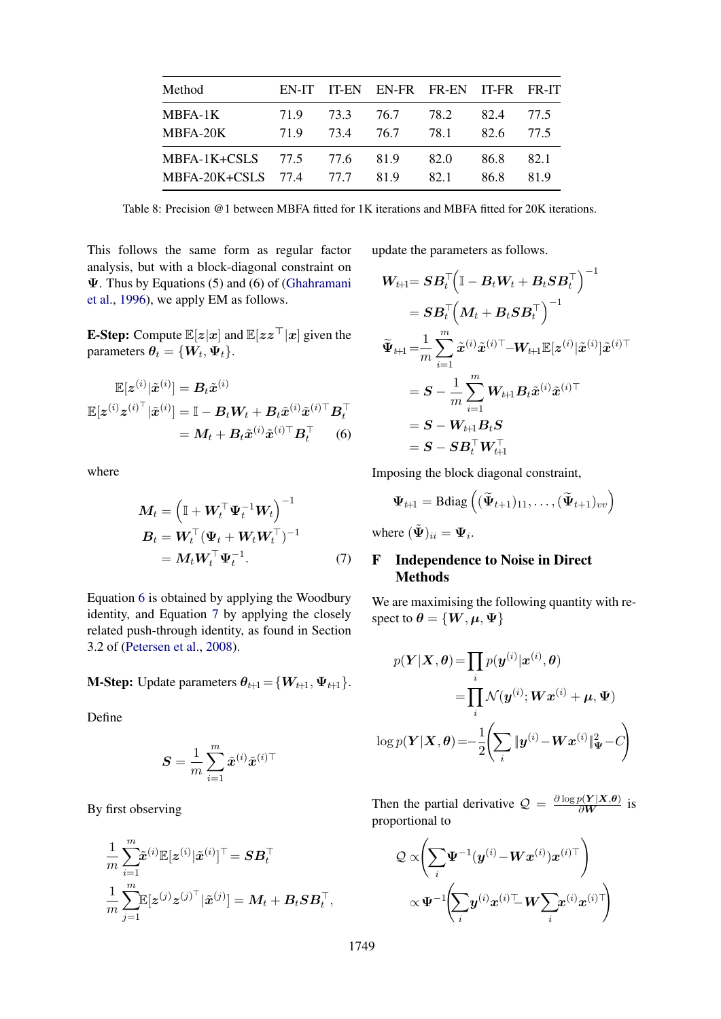<span id="page-11-3"></span>

| Method                      | EN-IT |     |           | IT-EN EN-FR FR-EN IT-FR FR-IT |      |      |
|-----------------------------|-------|-----|-----------|-------------------------------|------|------|
| <b>MBFA-1K</b>              | 719   |     | 73.3 76.7 | 78.2                          | 82.4 | 77.5 |
| MBFA-20K                    | 71.9  | 734 | 76.7      | 78.1                          | 82.6 | 77.5 |
| MBFA-1K+CSLS 77.5 77.6 81.9 |       |     |           | 82.0                          | 86.8 | 82.1 |
| MBFA-20K+CSLS 77.4 77.7     |       |     | 819       | 82.1                          | 86.8 | 819  |

Table 8: Precision @1 between MBFA fitted for 1K iterations and MBFA fitted for 20K iterations.

This follows the same form as regular factor analysis, but with a block-diagonal constraint on Ψ. Thus by Equations (5) and (6) of [\(Ghahramani](#page-9-10) [et al.,](#page-9-10) [1996\)](#page-9-10), we apply EM as follows.

**E-Step:** Compute  $\mathbb{E}[z|x]$  and  $\mathbb{E}[zz^{\top}|x]$  given the parameters  $\boldsymbol{\theta}_t = \{\boldsymbol{W}_t, \boldsymbol{\Psi}_t\}.$ 

$$
\mathbb{E}[z^{(i)}|\tilde{x}^{(i)}] = B_t \tilde{x}^{(i)}
$$

$$
\mathbb{E}[z^{(i)}z^{(i)\top}|\tilde{x}^{(i)}] = \mathbb{I} - B_t W_t + B_t \tilde{x}^{(i)}\tilde{x}^{(i)\top} B_t^{\top}
$$

$$
= M_t + B_t \tilde{x}^{(i)}\tilde{x}^{(i)\top} B_t^{\top}
$$
(6)

where

$$
\mathbf{M}_t = \left(\mathbb{I} + \mathbf{W}_t^\top \mathbf{\Psi}_t^{-1} \mathbf{W}_t\right)^{-1}
$$
  
\n
$$
\mathbf{B}_t = \mathbf{W}_t^\top (\mathbf{\Psi}_t + \mathbf{W}_t \mathbf{W}_t^\top)^{-1}
$$
  
\n
$$
= \mathbf{M}_t \mathbf{W}_t^\top \mathbf{\Psi}_t^{-1}.
$$
 (7)

Equation [6](#page-11-1) is obtained by applying the Woodbury identity, and Equation [7](#page-11-2) by applying the closely related push-through identity, as found in Section 3.2 of [\(Petersen et al.,](#page-9-24) [2008\)](#page-9-24).

**M-Step:** Update parameters  $\theta_{t+1} = \{W_{t+1}, \Psi_{t+1}\}.$ 

Define

$$
\boldsymbol{S} = \frac{1}{m}\sum_{i=1}^m \tilde{\boldsymbol{x}}^{(i)}\tilde{\boldsymbol{x}}^{(i)\top}
$$

By first observing

$$
\begin{aligned} &\frac{1}{m}\sum_{i=1}^m &\tilde{\pmb{x}}^{(i)}\mathbb{E}[\pmb{z}^{(i)}|\tilde{\pmb{x}}^{(i)}]^\top = \pmb{S}\pmb{B}_t^\top \\ &\frac{1}{m}\sum_{j=1}^m &\mathbb{E}[\pmb{z}^{(j)}\pmb{z}^{(j)\top}|\tilde{\pmb{x}}^{(j)}] = \pmb{M}_t + \pmb{B}_t\pmb{S}\pmb{B}_t^\top, \end{aligned}
$$

update the parameters as follows.

$$
\begin{aligned} \boldsymbol{W}_{t\!+\!1}\!\!\!\!&=\boldsymbol{S}\boldsymbol{B}_t^\top\!\!\left(\mathbb{I}-\boldsymbol{B}_t\boldsymbol{W}_t+\boldsymbol{B}_t\boldsymbol{S}\boldsymbol{B}_t^\top\right)^{-1}\\ &=\boldsymbol{S}\boldsymbol{B}_t^\top\!\!\left(\boldsymbol{M}_t+\boldsymbol{B}_t\boldsymbol{S}\boldsymbol{B}_t^\top\right)^{-1}\\ &\widetilde{\boldsymbol{\Psi}}_{t\!+\!1}\!=\!\!\frac{1}{m}\sum_{i=1}^m\tilde{\boldsymbol{x}}^{(i)}\tilde{\boldsymbol{x}}^{(i)\top}\!\!-\!\boldsymbol{W}_{t\!+\!1}\mathbb{E}[\boldsymbol{z}^{(i)}|\tilde{\boldsymbol{x}}^{(i)}]\tilde{\boldsymbol{x}}^{(i)\top}\\ &=\boldsymbol{S}-\frac{1}{m}\sum_{i=1}^m\boldsymbol{W}_{t\!+\!1}\boldsymbol{B}_t\tilde{\boldsymbol{x}}^{(i)}\tilde{\boldsymbol{x}}^{(i)\top}\\ &=\boldsymbol{S}-\boldsymbol{W}_{t\!+\!1}\boldsymbol{B}_t\boldsymbol{S}\\ &=\boldsymbol{S}-\boldsymbol{S}\boldsymbol{B}_t^\top\boldsymbol{W}_{t\!+\!1}^\top \end{aligned}
$$

<span id="page-11-1"></span>Imposing the block diagonal constraint,

$$
\mathbf{\Psi}_{t+1} = \text{Bdiag}\left( (\widetilde{\mathbf{\Psi}}_{t+1})_{11}, \ldots, (\widetilde{\mathbf{\Psi}}_{t+1})_{vv} \right)
$$

where  $({\tilde{\mathbf{\Psi}}})_{ii} = {\mathbf{\Psi}}_i$ .

## <span id="page-11-2"></span><span id="page-11-0"></span>F Independence to Noise in Direct Methods

We are maximising the following quantity with respect to  $\theta = \{W, \mu, \Psi\}$ 

$$
p(\mathbf{Y}|\mathbf{X}, \boldsymbol{\theta}) = \prod_{i} p(\mathbf{y}^{(i)}|\mathbf{x}^{(i)}, \boldsymbol{\theta})
$$

$$
= \prod_{i} \mathcal{N}(\mathbf{y}^{(i)}; \mathbf{W}\mathbf{x}^{(i)} + \boldsymbol{\mu}, \boldsymbol{\Psi})
$$

$$
\log p(\mathbf{Y}|\mathbf{X}, \boldsymbol{\theta}) = -\frac{1}{2} \left( \sum_{i} \|\mathbf{y}^{(i)} - \mathbf{W}\mathbf{x}^{(i)}\|_{\boldsymbol{\Psi}}^2 - C \right)
$$

Then the partial derivative  $Q = \frac{\partial \log p(Y|X,\theta)}{\partial W}$  is proportional to